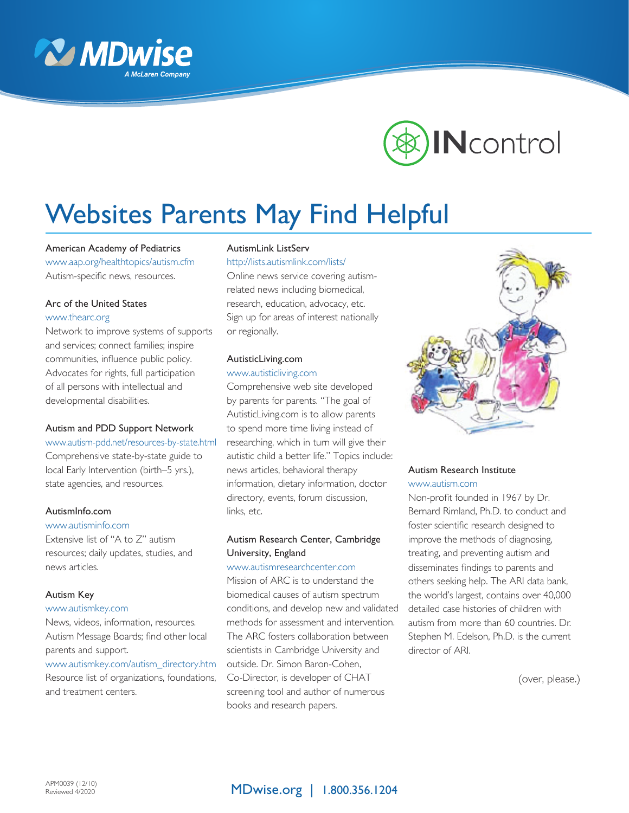



# Websites Parents May Find Helpful

American Academy of Pediatrics www.aap.org/healthtopics/autism.cfm Autism-specific news, resources.

#### Arc of the United States

#### www.thearc.org

Network to improve systems of supports and services; connect families; inspire communities, influence public policy. Advocates for rights, full participation of all persons with intellectual and developmental disabilities.

#### Autism and PDD Support Network

#### www.autism-pdd.net/resources-by-state.html

Comprehensive state-by-state guide to local Early Intervention (birth–5 yrs.), state agencies, and resources.

#### AutismInfo.com

#### www.autisminfo.com

Extensive list of "A to Z" autism resources; daily updates, studies, and news articles.

#### Autism Key

#### www.autismkey.com

News, videos, information, resources. Autism Message Boards; find other local parents and support.

www.autismkey.com/autism\_directory.htm Resource list of organizations, foundations, and treatment centers.

#### AutismLink ListServ

http://lists.autismlink.com/lists/ Online news service covering autismrelated news including biomedical,

research, education, advocacy, etc. Sign up for areas of interest nationally or regionally.

#### AutisticLiving.com www.autisticliving.com

Comprehensive web site developed by parents for parents. "The goal of AutisticLiving.com is to allow parents to spend more time living instead of researching, which in turn will give their autistic child a better life." Topics include: news articles, behavioral therapy information, dietary information, doctor directory, events, forum discussion, links, etc.

#### Autism Research Center, Cambridge University, England

#### www.autismresearchcenter.com

Mission of ARC is to understand the biomedical causes of autism spectrum conditions, and develop new and validated methods for assessment and intervention. The ARC fosters collaboration between scientists in Cambridge University and outside. Dr. Simon Baron-Cohen, Co-Director, is developer of CHAT screening tool and author of numerous books and research papers.



## Autism Research Institute

#### www.autism.com

Non-profit founded in 1967 by Dr. Bernard Rimland, Ph.D. to conduct and foster scientific research designed to improve the methods of diagnosing, treating, and preventing autism and disseminates findings to parents and others seeking help. The ARI data bank, the world's largest, contains over 40,000 detailed case histories of children with autism from more than 60 countries. Dr. Stephen M. Edelson, Ph.D. is the current director of ARI.

(over, please.)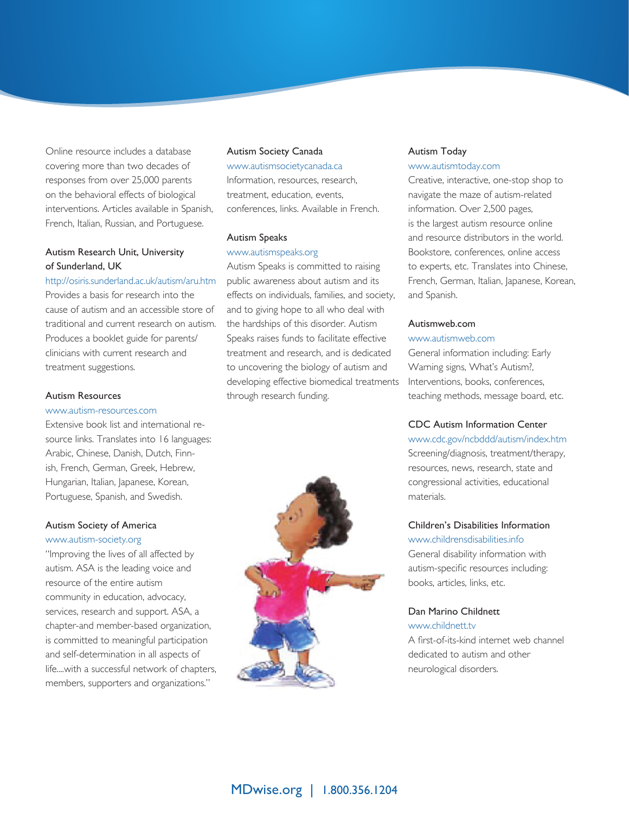Online resource includes a database covering more than two decades of responses from over 25,000 parents on the behavioral effects of biological interventions. Articles available in Spanish, French, Italian, Russian, and Portuguese.

#### Autism Research Unit, University of Sunderland, UK

http://osiris.sunderland.ac.uk/autism/aru.htm Provides a basis for research into the cause of autism and an accessible store of traditional and current research on autism. Produces a booklet guide for parents/ clinicians with current research and treatment suggestions.

#### Autism Resources

#### www.autism-resources.com

Extensive book list and international resource links. Translates into 16 languages: Arabic, Chinese, Danish, Dutch, Finnish, French, German, Greek, Hebrew, Hungarian, Italian, Japanese, Korean, Portuguese, Spanish, and Swedish.

#### Autism Society of America

www.autism-society.org "Improving the lives of all affected by autism. ASA is the leading voice and resource of the entire autism community in education, advocacy, services, research and support. ASA, a chapter-and member-based organization, is committed to meaningful participation and self-determination in all aspects of life....with a successful network of chapters, members, supporters and organizations."

#### Autism Society Canada

www.autismsocietycanada.ca Information, resources, research, treatment, education, events, conferences, links. Available in French.

#### Autism Speaks

#### www.autismspeaks.org

Autism Speaks is committed to raising public awareness about autism and its effects on individuals, families, and society, and to giving hope to all who deal with the hardships of this disorder. Autism Speaks raises funds to facilitate effective treatment and research, and is dedicated to uncovering the biology of autism and developing effective biomedical treatments through research funding.



# Autism Today

#### www.autismtoday.com

Creative, interactive, one-stop shop to navigate the maze of autism-related information. Over 2,500 pages, is the largest autism resource online and resource distributors in the world. Bookstore, conferences, online access to experts, etc. Translates into Chinese, French, German, Italian, Japanese, Korean, and Spanish.

#### Autismweb.com

#### www.autismweb.com

General information including: Early Warning signs, What's Autism?, Interventions, books, conferences, teaching methods, message board, etc.

#### CDC Autism Information Center

www.cdc.gov/ncbddd/autism/index.htm Screening/diagnosis, treatment/therapy, resources, news, research, state and congressional activities, educational materials.

#### Children's Disabilities Information

www.childrensdisabilities.info General disability information with autism-specific resources including: books, articles, links, etc.

#### Dan Marino Childnett www.childnett.tv

A first-of-its-kind internet web channel dedicated to autism and other neurological disorders.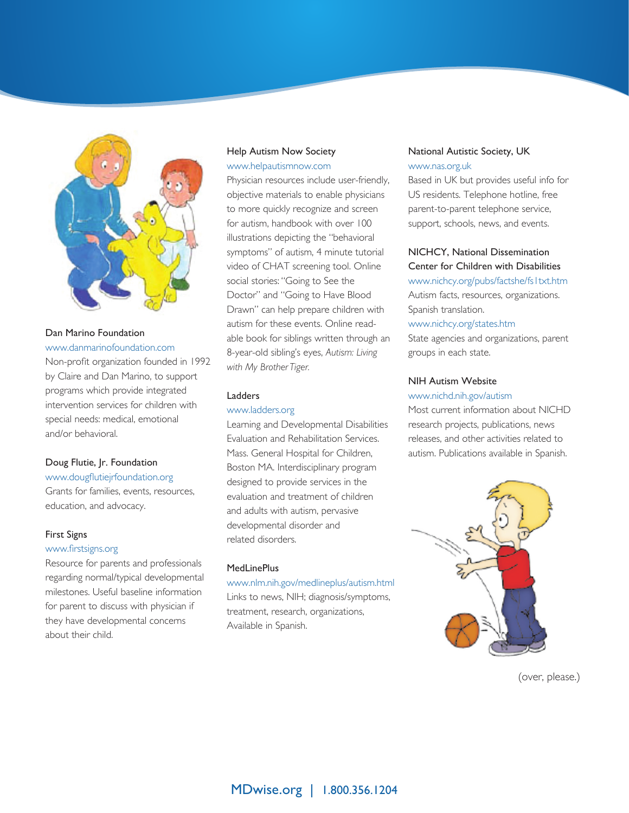

#### Dan Marino Foundation

www.danmarinofoundation.com

Non-profit organization founded in 1992 by Claire and Dan Marino, to support programs which provide integrated intervention services for children with special needs: medical, emotional and/or behavioral.

#### Doug Flutie, Jr. Foundation

#### www.dougflutiejrfoundation.org

Grants for families, events, resources, education, and advocacy.

#### First Signs

#### www.firstsigns.org

Resource for parents and professionals regarding normal/typical developmental milestones. Useful baseline information for parent to discuss with physician if they have developmental concerns about their child.

#### Help Autism Now Society www.helpautismnow.com

Physician resources include user-friendly, objective materials to enable physicians to more quickly recognize and screen for autism, handbook with over 100 illustrations depicting the "behavioral symptoms" of autism, 4 minute tutorial video of CHAT screening tool. Online social stories: "Going to See the Doctor" and "Going to Have Blood Drawn" can help prepare children with autism for these events. Online readable book for siblings written through an 8-year-old sibling's eyes, *Autism: Living with My Brother Tiger.*

#### Ladders

#### www.ladders.org

Learning and Developmental Disabilities Evaluation and Rehabilitation Services. Mass. General Hospital for Children, Boston MA. Interdisciplinary program designed to provide services in the evaluation and treatment of children and adults with autism, pervasive developmental disorder and related disorders.

#### MedLinePlus

www.nlm.nih.gov/medlineplus/autism.html Links to news, NIH; diagnosis/symptoms, treatment, research, organizations, Available in Spanish.

# National Autistic Society, UK

#### www.nas.org.uk

Based in UK but provides useful info for US residents. Telephone hotline, free parent-to-parent telephone service, support, schools, news, and events.

#### NICHCY, National Dissemination Center for Children with Disabilities

www.nichcy.org/pubs/factshe/fs1txt.htm Autism facts, resources, organizations. Spanish translation.

#### www.nichcy.org/states.htm

State agencies and organizations, parent groups in each state.

#### NIH Autism Website

#### www.nichd.nih.gov/autism

Most current information about NICHD research projects, publications, news releases, and other activities related to autism. Publications available in Spanish.



(over, please.)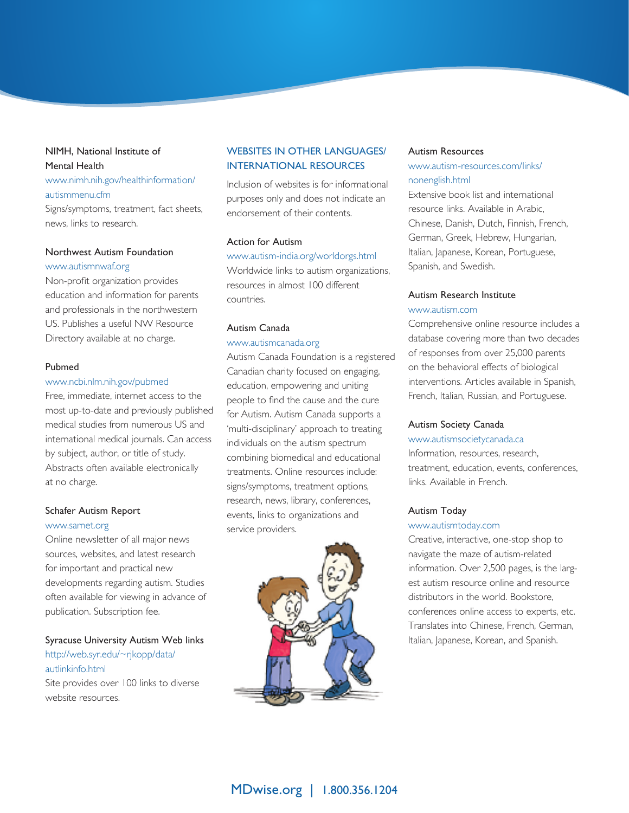#### NIMH, National Institute of Mental Health

### www.nimh.nih.gov/healthinformation/ autismmenu.cfm

Signs/symptoms, treatment, fact sheets, news, links to research.

#### Northwest Autism Foundation

#### www.autismnwaf.org

Non-profit organization provides education and information for parents and professionals in the northwestern US. Publishes a useful NW Resource Directory available at no charge.

#### Pubmed

#### www.ncbi.nlm.nih.gov/pubmed

Free, immediate, internet access to the most up-to-date and previously published medical studies from numerous US and international medical journals. Can access by subject, author, or title of study. Abstracts often available electronically at no charge.

# Schafer Autism Report

#### www.sarnet.org

Online newsletter of all major news sources, websites, and latest research for important and practical new developments regarding autism. Studies often available for viewing in advance of publication. Subscription fee.

# Syracuse University Autism Web links

#### http://web.syr.edu/~rjkopp/data/ autlinkinfo.html Site provides over 100 links to diverse website resources.

#### WEBSITES IN OTHER LANGUAGES/ INTERNATIONAL RESOURCES

Inclusion of websites is for informational purposes only and does not indicate an endorsement of their contents.

#### Action for Autism

#### www.autism-india.org/worldorgs.html

Worldwide links to autism organizations, resources in almost 100 different countries.

#### Autism Canada

#### www.autismcanada.org

Autism Canada Foundation is a registered Canadian charity focused on engaging, education, empowering and uniting people to find the cause and the cure for Autism. Autism Canada supports a 'multi-disciplinary' approach to treating individuals on the autism spectrum combining biomedical and educational treatments. Online resources include: signs/symptoms, treatment options, research, news, library, conferences, events, links to organizations and service providers.



# Autism Resources

#### www.autism-resources.com/links/ nonenglish.html

Extensive book list and international resource links. Available in Arabic, Chinese, Danish, Dutch, Finnish, French, German, Greek, Hebrew, Hungarian, Italian, Japanese, Korean, Portuguese, Spanish, and Swedish.

# Autism Research Institute

#### www.autism.com

Comprehensive online resource includes a database covering more than two decades of responses from over 25,000 parents on the behavioral effects of biological interventions. Articles available in Spanish, French, Italian, Russian, and Portuguese.

#### Autism Society Canada

#### www.autismsocietycanada.ca

Information, resources, research, treatment, education, events, conferences, links. Available in French.

#### Autism Today

#### www.autismtoday.com

Creative, interactive, one-stop shop to navigate the maze of autism-related information. Over 2,500 pages, is the largest autism resource online and resource distributors in the world. Bookstore, conferences online access to experts, etc. Translates into Chinese, French, German, Italian, Japanese, Korean, and Spanish.